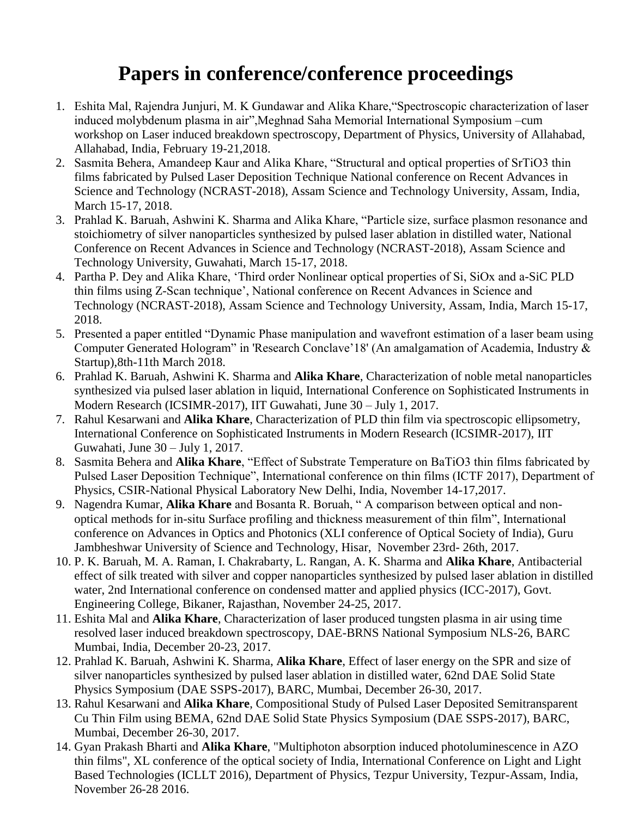## **Papers in conference/conference proceedings**

- 1. Eshita Mal, Rajendra Junjuri, M. K Gundawar and Alika Khare,"Spectroscopic characterization of laser induced molybdenum plasma in air",Meghnad Saha Memorial International Symposium –cum workshop on Laser induced breakdown spectroscopy, Department of Physics, University of Allahabad, Allahabad, India, February 19-21,2018.
- 2. Sasmita Behera, Amandeep Kaur and Alika Khare, "Structural and optical properties of SrTiO3 thin films fabricated by Pulsed Laser Deposition Technique National conference on Recent Advances in Science and Technology (NCRAST-2018), Assam Science and Technology University, Assam, India, March 15-17, 2018.
- 3. Prahlad K. Baruah, Ashwini K. Sharma and Alika Khare, "Particle size, surface plasmon resonance and stoichiometry of silver nanoparticles synthesized by pulsed laser ablation in distilled water, National Conference on Recent Advances in Science and Technology (NCRAST-2018), Assam Science and Technology University, Guwahati, March 15-17, 2018.
- 4. Partha P. Dey and Alika Khare, 'Third order Nonlinear optical properties of Si, SiOx and a-SiC PLD thin films using Z-Scan technique', National conference on Recent Advances in Science and Technology (NCRAST-2018), Assam Science and Technology University, Assam, India, March 15-17, 2018.
- 5. Presented a paper entitled "Dynamic Phase manipulation and wavefront estimation of a laser beam using Computer Generated Hologram" in 'Research Conclave'18' (An amalgamation of Academia, Industry & Startup),8th-11th March 2018.
- 6. Prahlad K. Baruah, Ashwini K. Sharma and **Alika Khare**, Characterization of noble metal nanoparticles synthesized via pulsed laser ablation in liquid, International Conference on Sophisticated Instruments in Modern Research (ICSIMR-2017), IIT Guwahati, June 30 – July 1, 2017.
- 7. Rahul Kesarwani and **Alika Khare**, Characterization of PLD thin film via spectroscopic ellipsometry, International Conference on Sophisticated Instruments in Modern Research (ICSIMR-2017), IIT Guwahati, June 30 – July 1, 2017.
- 8. Sasmita Behera and **Alika Khare**, "Effect of Substrate Temperature on BaTiO3 thin films fabricated by Pulsed Laser Deposition Technique", International conference on thin films (ICTF 2017), Department of Physics, CSIR-National Physical Laboratory New Delhi, India, November 14-17,2017.
- 9. Nagendra Kumar, **Alika Khare** and Bosanta R. Boruah, " A comparison between optical and nonoptical methods for in-situ Surface profiling and thickness measurement of thin film", International conference on Advances in Optics and Photonics (XLI conference of Optical Society of India), Guru Jambheshwar University of Science and Technology, Hisar, November 23rd- 26th, 2017.
- 10. P. K. Baruah, M. A. Raman, I. Chakrabarty, L. Rangan, A. K. Sharma and **Alika Khare**, Antibacterial effect of silk treated with silver and copper nanoparticles synthesized by pulsed laser ablation in distilled water, 2nd International conference on condensed matter and applied physics (ICC-2017), Govt. Engineering College, Bikaner, Rajasthan, November 24-25, 2017.
- 11. Eshita Mal and **Alika Khare**, Characterization of laser produced tungsten plasma in air using time resolved laser induced breakdown spectroscopy, DAE-BRNS National Symposium NLS-26, BARC Mumbai, India, December 20-23, 2017.
- 12. Prahlad K. Baruah, Ashwini K. Sharma, **Alika Khare**, Effect of laser energy on the SPR and size of silver nanoparticles synthesized by pulsed laser ablation in distilled water, 62nd DAE Solid State Physics Symposium (DAE SSPS-2017), BARC, Mumbai, December 26-30, 2017.
- 13. Rahul Kesarwani and **Alika Khare**, Compositional Study of Pulsed Laser Deposited Semitransparent Cu Thin Film using BEMA, 62nd DAE Solid State Physics Symposium (DAE SSPS-2017), BARC, Mumbai, December 26-30, 2017.
- 14. Gyan Prakash Bharti and **Alika Khare**, "Multiphoton absorption induced photoluminescence in AZO thin films", XL conference of the optical society of India, International Conference on Light and Light Based Technologies (ICLLT 2016), Department of Physics, Tezpur University, Tezpur-Assam, India, November 26-28 2016.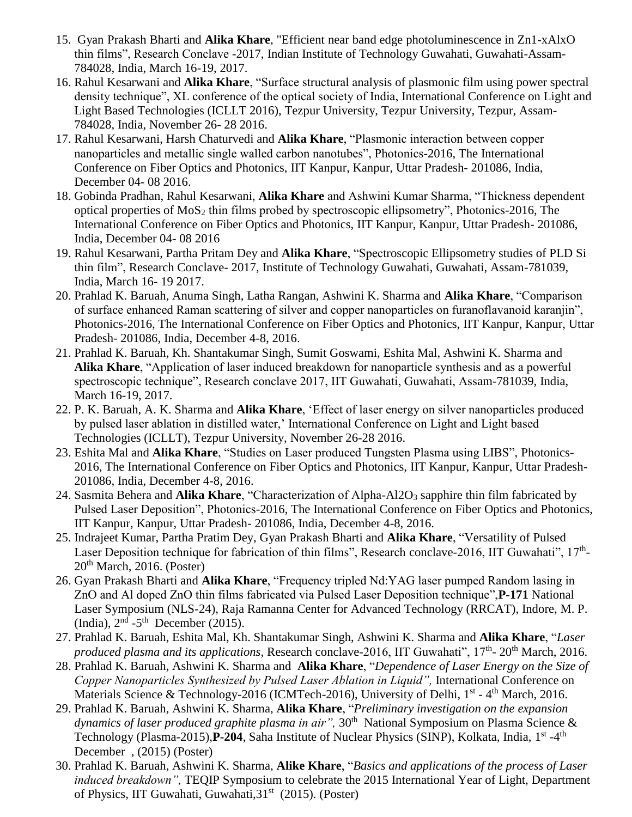- 15. Gyan Prakash Bharti and **Alika Khare**, "Efficient near band edge photoluminescence in Zn1-xAlxO thin films", Research Conclave -2017, Indian Institute of Technology Guwahati, Guwahati-Assam-784028, India, March 16-19, 2017.
- 16. Rahul Kesarwani and **Alika Khare**, "Surface structural analysis of plasmonic film using power spectral density technique", XL conference of the optical society of India, International Conference on Light and Light Based Technologies (ICLLT 2016), Tezpur University, Tezpur University, Tezpur, Assam-784028, India, November 26- 28 2016.
- 17. Rahul Kesarwani, Harsh Chaturvedi and **Alika Khare**, "Plasmonic interaction between copper nanoparticles and metallic single walled carbon nanotubes", Photonics-2016, The International Conference on Fiber Optics and Photonics, IIT Kanpur, Kanpur, Uttar Pradesh- 201086, India, December 04- 08 2016.
- 18. Gobinda Pradhan, Rahul Kesarwani, **Alika Khare** and Ashwini Kumar Sharma, "Thickness dependent optical properties of  $MoS<sub>2</sub>$  thin films probed by spectroscopic ellipsometry", Photonics-2016, The International Conference on Fiber Optics and Photonics, IIT Kanpur, Kanpur, Uttar Pradesh- 201086, India, December 04- 08 2016
- 19. Rahul Kesarwani, Partha Pritam Dey and **Alika Khare**, "Spectroscopic Ellipsometry studies of PLD Si thin film", Research Conclave- 2017, Institute of Technology Guwahati, Guwahati, Assam-781039, India, March 16- 19 2017.
- 20. Prahlad K. Baruah, Anuma Singh, Latha Rangan, Ashwini K. Sharma and **Alika Khare**, "Comparison of surface enhanced Raman scattering of silver and copper nanoparticles on furanoflavanoid karanjin", Photonics-2016, The International Conference on Fiber Optics and Photonics, IIT Kanpur, Kanpur, Uttar Pradesh- 201086, India, December 4-8, 2016.
- 21. Prahlad K. Baruah, Kh. Shantakumar Singh, Sumit Goswami, Eshita Mal, Ashwini K. Sharma and **Alika Khare**, "Application of laser induced breakdown for nanoparticle synthesis and as a powerful spectroscopic technique", Research conclave 2017, IIT Guwahati, Guwahati, Assam-781039, India, March 16-19, 2017.
- 22. P. K. Baruah, A. K. Sharma and **Alika Khare**, 'Effect of laser energy on silver nanoparticles produced by pulsed laser ablation in distilled water,' International Conference on Light and Light based Technologies (ICLLT), Tezpur University, November 26-28 2016.
- 23. Eshita Mal and **Alika Khare**, "Studies on Laser produced Tungsten Plasma using LIBS", Photonics-2016, The International Conference on Fiber Optics and Photonics, IIT Kanpur, Kanpur, Uttar Pradesh-201086, India, December 4-8, 2016.
- 24. Sasmita Behera and **Alika Khare**, "Characterization of Alpha-Al2O<sub>3</sub> sapphire thin film fabricated by Pulsed Laser Deposition", Photonics-2016, The International Conference on Fiber Optics and Photonics, IIT Kanpur, Kanpur, Uttar Pradesh- 201086, India, December 4-8, 2016.
- 25. Indrajeet Kumar, Partha Pratim Dey, Gyan Prakash Bharti and **Alika Khare**, "Versatility of Pulsed Laser Deposition technique for fabrication of thin films", Research conclave-2016, IIT Guwahati", 17<sup>th</sup>- $20<sup>th</sup> March, 2016. (Poster)$
- 26. Gyan Prakash Bharti and **Alika Khare**, "Frequency tripled Nd:YAG laser pumped Random lasing in ZnO and Al doped ZnO thin films fabricated via Pulsed Laser Deposition technique",**P-171** National Laser Symposium (NLS-24), Raja Ramanna Center for Advanced Technology (RRCAT), Indore, M. P. (India),  $2<sup>nd</sup> - 5<sup>th</sup>$  December (2015).
- 27. Prahlad K. Baruah, Eshita Mal, Kh. Shantakumar Singh, Ashwini K. Sharma and **Alika Khare**, "*Laser produced plasma and its applications*, Research conclave-2016, IIT Guwahati", 17<sup>th</sup>- 20<sup>th</sup> March, 2016.
- 28. Prahlad K. Baruah, Ashwini K. Sharma and **Alika Khare**, "*Dependence of Laser Energy on the Size of Copper Nanoparticles Synthesized by Pulsed Laser Ablation in Liquid"*, International Conference on Materials Science & Technology-2016 (ICMTech-2016), University of Delhi, 1<sup>st</sup> - 4<sup>th</sup> March, 2016.
- 29. Prahlad K. Baruah, Ashwini K. Sharma, **Alika Khare**, "*Preliminary investigation on the expansion*  dynamics of laser produced graphite plasma in air", 30<sup>th</sup> National Symposium on Plasma Science & Technology (Plasma-2015), P-204, Saha Institute of Nuclear Physics (SINP), Kolkata, India, 1<sup>st</sup> -4<sup>th</sup> December , (2015) (Poster)
- 30. Prahlad K. Baruah, Ashwini K. Sharma, **Alike Khare**, "*Basics and applications of the process of Laser induced breakdown",* TEQIP Symposium to celebrate the 2015 International Year of Light, Department of Physics, IIT Guwahati, Guwahati, 31<sup>st</sup> (2015). (Poster)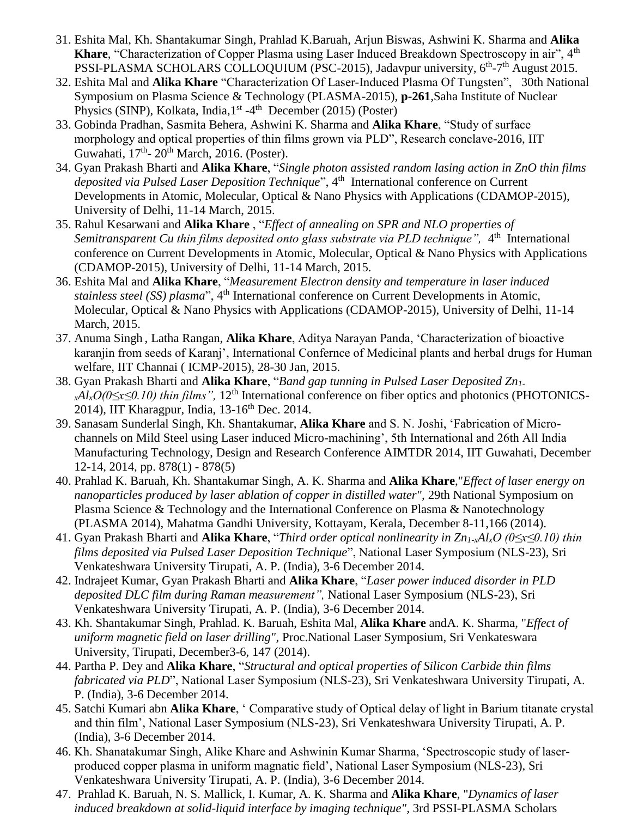- 31. Eshita Mal, Kh. Shantakumar Singh, Prahlad K.Baruah, Arjun Biswas, Ashwini K. Sharma and **Alika Khare**, "Characterization of Copper Plasma using Laser Induced Breakdown Spectroscopy in air", 4<sup>th</sup> PSSI-PLASMA SCHOLARS COLLOQUIUM (PSC-2015), Jadavpur university, 6<sup>th</sup>-7<sup>th</sup> August 2015.
- 32. Eshita Mal and **Alika Khare** "Characterization Of Laser-Induced Plasma Of Tungsten",30th National Symposium on Plasma Science & Technology (PLASMA-2015), **p-261**,Saha Institute of Nuclear Physics (SINP), Kolkata, India, 1<sup>st</sup> -4<sup>th</sup> December (2015) (Poster)
- 33. Gobinda Pradhan, Sasmita Behera, Ashwini K. Sharma and **Alika Khare**, "Study of surface morphology and optical properties of thin films grown via PLD", Research conclave-2016, IIT Guwahati, 17<sup>th</sup>- 20<sup>th</sup> March, 2016. (Poster).
- 34. Gyan Prakash Bharti and **Alika Khare**, "*Single photon assisted random lasing action in ZnO thin films deposited via Pulsed Laser Deposition Technique*", 4 th International conference on Current Developments in Atomic, Molecular, Optical & Nano Physics with Applications (CDAMOP-2015), University of Delhi, 11-14 March, 2015.
- 35. Rahul Kesarwani and **Alika Khare** , "*Effect of annealing on SPR and NLO properties of*  Semitransparent Cu thin films deposited onto glass substrate via PLD technique", 4<sup>th</sup> International conference on Current Developments in Atomic, Molecular, Optical & Nano Physics with Applications (CDAMOP-2015), University of Delhi, 11-14 March, 2015.
- 36. Eshita Mal and **Alika Khare**, "*Measurement Electron density and temperature in laser induced stainless steel (SS) plasma*", 4<sup>th</sup> International conference on Current Developments in Atomic, Molecular, Optical & Nano Physics with Applications (CDAMOP-2015), University of Delhi, 11-14 March, 2015.
- 37. Anuma Singh , Latha Rangan, **Alika Khare**, Aditya Narayan Panda, 'Characterization of bioactive karanjin from seeds of Karanj', International Confernce of Medicinal plants and herbal drugs for Human welfare, IIT Channai ( ICMP-2015), 28-30 Jan, 2015.
- 38. Gyan Prakash Bharti and **Alika Khare**, "*Band gap tunning in Pulsed Laser Deposited Zn1 xAlxO*(0≤x≤0.10) thin films", 12<sup>th</sup> International conference on fiber optics and photonics (PHOTONICS-2014), IIT Kharagpur, India,  $13-16^{th}$  Dec. 2014.
- 39. Sanasam Sunderlal Singh, Kh. Shantakumar, **Alika Khare** and S. N. Joshi, 'Fabrication of Microchannels on Mild Steel using Laser induced Micro-machining', 5th International and 26th All India Manufacturing Technology, Design and Research Conference AIMTDR 2014, IIT Guwahati, December 12-14, 2014, pp. 878(1) - 878(5)
- 40. Prahlad K. Baruah, Kh. Shantakumar Singh, A. K. Sharma and **Alika Khare**,"*Effect of laser energy on nanoparticles produced by laser ablation of copper in distilled water",* 29th National Symposium on Plasma Science & Technology and the International Conference on Plasma & Nanotechnology (PLASMA 2014), Mahatma Gandhi University, Kottayam, Kerala, December 8-11,166 (2014).
- 41. Gyan Prakash Bharti and **Alika Khare**, "*Third order optical nonlinearity in Zn1-xAlxO (0≤x≤0.10) thin films deposited via Pulsed Laser Deposition Technique*", National Laser Symposium (NLS-23), Sri Venkateshwara University Tirupati, A. P. (India), 3-6 December 2014.
- 42. Indrajeet Kumar, Gyan Prakash Bharti and **Alika Khare**, "*Laser power induced disorder in PLD deposited DLC film during Raman measurement",* National Laser Symposium (NLS-23), Sri Venkateshwara University Tirupati, A. P. (India), 3-6 December 2014.
- 43. Kh. Shantakumar Singh, Prahlad. K. Baruah, Eshita Mal, **Alika Khare** andA. K. Sharma, "*Effect of uniform magnetic field on laser drilling",* Proc.National Laser Symposium, Sri Venkateswara University, Tirupati, December3-6, 147 (2014).
- 44. Partha P. Dey and **Alika Khare**, "*Structural and optical properties of Silicon Carbide thin films fabricated via PLD*", National Laser Symposium (NLS-23), Sri Venkateshwara University Tirupati, A. P. (India), 3-6 December 2014.
- 45. Satchi Kumari abn **Alika Khare**, ' Comparative study of Optical delay of light in Barium titanate crystal and thin film', National Laser Symposium (NLS-23), Sri Venkateshwara University Tirupati, A. P. (India), 3-6 December 2014.
- 46. Kh. Shanatakumar Singh, Alike Khare and Ashwinin Kumar Sharma, 'Spectroscopic study of laserproduced copper plasma in uniform magnatic field', National Laser Symposium (NLS-23), Sri Venkateshwara University Tirupati, A. P. (India), 3-6 December 2014.
- 47. Prahlad K. Baruah, N. S. Mallick, I. Kumar, A. K. Sharma and **Alika Khare**, "*Dynamics of laser induced breakdown at solid-liquid interface by imaging technique",* 3rd PSSI-PLASMA Scholars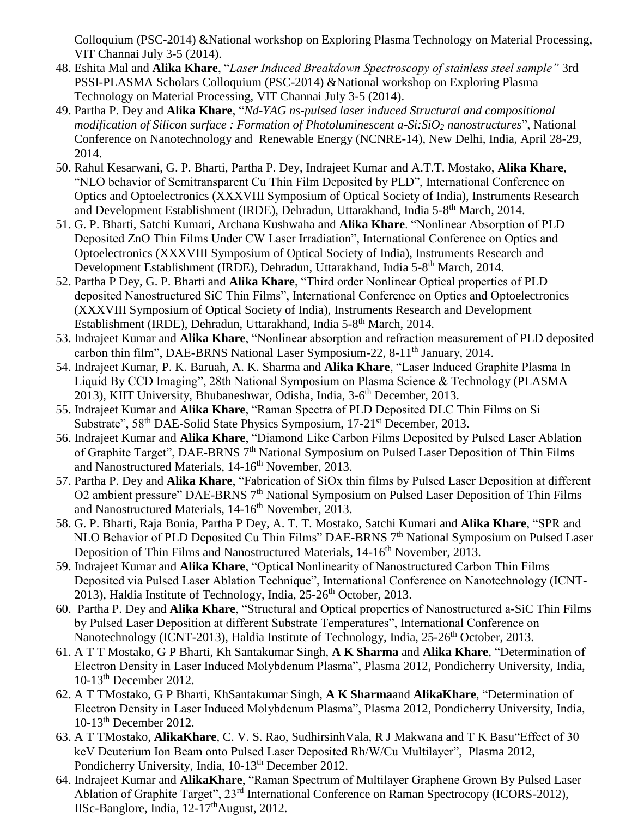Colloquium (PSC-2014) &National workshop on Exploring Plasma Technology on Material Processing, VIT Channai July 3-5 (2014).

- 48. Eshita Mal and **Alika Khare**, "*Laser Induced Breakdown Spectroscopy of stainless steel sample"* 3rd PSSI-PLASMA Scholars Colloquium (PSC-2014) &National workshop on Exploring Plasma Technology on Material Processing, VIT Channai July 3-5 (2014).
- 49. Partha P. Dey and **Alika Khare**, "*Nd-YAG ns-pulsed laser induced Structural and compositional modification of Silicon surface : Formation of Photoluminescent a-Si:SiO<sup>2</sup> nanostructures*", National Conference on Nanotechnology and Renewable Energy (NCNRE-14), New Delhi, India, April 28-29, 2014.
- 50. Rahul Kesarwani, G. P. Bharti, Partha P. Dey, Indrajeet Kumar and A.T.T. Mostako, **Alika Khare**, "NLO behavior of Semitransparent Cu Thin Film Deposited by PLD", International Conference on Optics and Optoelectronics (XXXVIII Symposium of Optical Society of India), Instruments Research and Development Establishment (IRDE), Dehradun, Uttarakhand, India 5-8<sup>th</sup> March, 2014.
- 51. G. P. Bharti, Satchi Kumari, Archana Kushwaha and **Alika Khare**. "Nonlinear Absorption of PLD Deposited ZnO Thin Films Under CW Laser Irradiation", International Conference on Optics and Optoelectronics (XXXVIII Symposium of Optical Society of India), Instruments Research and Development Establishment (IRDE), Dehradun, Uttarakhand, India 5-8<sup>th</sup> March, 2014.
- 52. Partha P Dey, G. P. Bharti and **Alika Khare**, "Third order Nonlinear Optical properties of PLD deposited Nanostructured SiC Thin Films", International Conference on Optics and Optoelectronics (XXXVIII Symposium of Optical Society of India), Instruments Research and Development Establishment (IRDE), Dehradun, Uttarakhand, India 5-8<sup>th</sup> March, 2014.
- 53. Indrajeet Kumar and **Alika Khare**, "Nonlinear absorption and refraction measurement of PLD deposited carbon thin film", DAE-BRNS National Laser Symposium-22, 8-11<sup>th</sup> January, 2014.
- 54. Indrajeet Kumar, P. K. Baruah, A. K. Sharma and **Alika Khare**, "Laser Induced Graphite Plasma In Liquid By CCD Imaging", 28th National Symposium on Plasma Science & Technology (PLASMA 2013), KIIT University, Bhubaneshwar, Odisha, India, 3-6<sup>th</sup> December, 2013.
- 55. Indrajeet Kumar and **Alika Khare**, "Raman Spectra of PLD Deposited DLC Thin Films on Si Substrate", 58<sup>th</sup> DAE-Solid State Physics Symposium, 17-21<sup>st</sup> December, 2013.
- 56. Indrajeet Kumar and **Alika Khare**, "Diamond Like Carbon Films Deposited by Pulsed Laser Ablation of Graphite Target", DAE-BRNS 7<sup>th</sup> National Symposium on Pulsed Laser Deposition of Thin Films and Nanostructured Materials, 14-16<sup>th</sup> November, 2013.
- 57. Partha P. Dey and **Alika Khare**, "Fabrication of SiOx thin films by Pulsed Laser Deposition at different O2 ambient pressure" DAE-BRNS 7<sup>th</sup> National Symposium on Pulsed Laser Deposition of Thin Films and Nanostructured Materials, 14-16<sup>th</sup> November, 2013.
- 58. G. P. Bharti, Raja Bonia, Partha P Dey, A. T. T. Mostako, Satchi Kumari and **Alika Khare**, "SPR and NLO Behavior of PLD Deposited Cu Thin Films" DAE-BRNS  $7<sup>th</sup>$  National Symposium on Pulsed Laser Deposition of Thin Films and Nanostructured Materials, 14-16<sup>th</sup> November, 2013.
- 59. Indrajeet Kumar and **Alika Khare**, "Optical Nonlinearity of Nanostructured Carbon Thin Films Deposited via Pulsed Laser Ablation Technique", International Conference on Nanotechnology (ICNT-2013), Haldia Institute of Technology, India,  $25\text{-}26\text{th}$  October, 2013.
- 60. Partha P. Dey and **Alika Khare**, "Structural and Optical properties of Nanostructured a-SiC Thin Films by Pulsed Laser Deposition at different Substrate Temperatures", International Conference on Nanotechnology (ICNT-2013), Haldia Institute of Technology, India, 25-26<sup>th</sup> October, 2013.
- 61. A T T Mostako, G P Bharti, Kh Santakumar Singh, **A K Sharma** and **Alika Khare**, "Determination of Electron Density in Laser Induced Molybdenum Plasma", Plasma 2012, Pondicherry University, India, 10-13th December 2012.
- 62. A T TMostako, G P Bharti, KhSantakumar Singh, **A K Sharma**and **AlikaKhare**, "Determination of Electron Density in Laser Induced Molybdenum Plasma", Plasma 2012, Pondicherry University, India, 10-13th December 2012.
- 63. A T TMostako, **AlikaKhare**, C. V. S. Rao, SudhirsinhVala, R J Makwana and T K Basu"Effect of 30 keV Deuterium Ion Beam onto Pulsed Laser Deposited Rh/W/Cu Multilayer", Plasma 2012, Pondicherry University, India, 10-13<sup>th</sup> December 2012.
- 64. Indrajeet Kumar and **AlikaKhare**, "Raman Spectrum of Multilayer Graphene Grown By Pulsed Laser Ablation of Graphite Target", 23<sup>rd</sup> International Conference on Raman Spectrocopy (ICORS-2012), IISc-Banglore, India,  $12-17<sup>th</sup>$ August, 2012.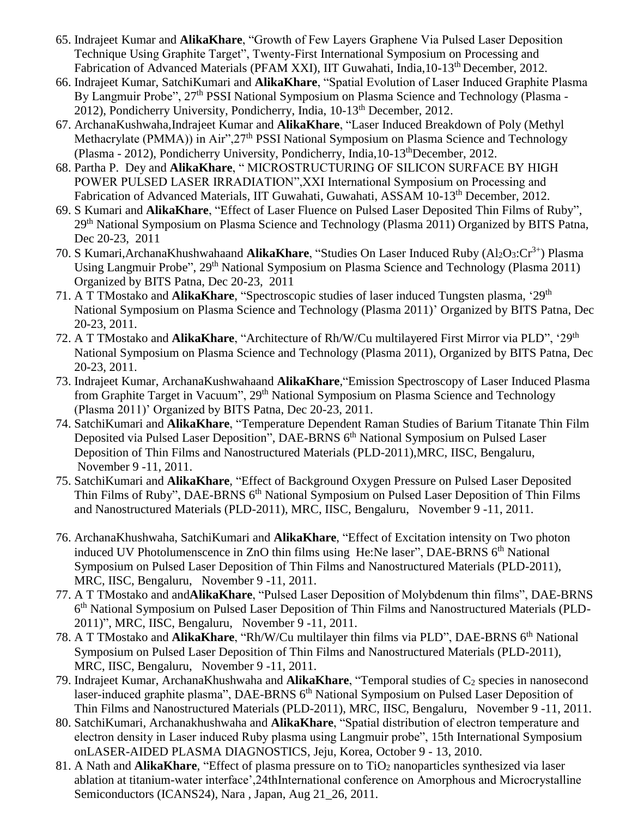- 65. Indrajeet Kumar and **AlikaKhare**, "Growth of Few Layers Graphene Via Pulsed Laser Deposition Technique Using Graphite Target", Twenty-First International Symposium on Processing and Fabrication of Advanced Materials (PFAM XXI), IIT Guwahati, India, 10-13<sup>th</sup> December, 2012.
- 66. Indrajeet Kumar, SatchiKumari and **AlikaKhare**, "Spatial Evolution of Laser Induced Graphite Plasma By Langmuir Probe", 27<sup>th</sup> PSSI National Symposium on Plasma Science and Technology (Plasma -2012), Pondicherry University, Pondicherry, India, 10-13th December, 2012.
- 67. ArchanaKushwaha,Indrajeet Kumar and **AlikaKhare**, "Laser Induced Breakdown of Poly (Methyl Methacrylate (PMMA)) in Air",27<sup>th</sup> PSSI National Symposium on Plasma Science and Technology (Plasma - 2012), Pondicherry University, Pondicherry, India,10-13thDecember, 2012.
- 68. Partha P. Dey and **AlikaKhare**, " MICROSTRUCTURING OF SILICON SURFACE BY HIGH POWER PULSED LASER IRRADIATION",XXI International Symposium on Processing and Fabrication of Advanced Materials, IIT Guwahati, Guwahati, ASSAM 10-13th December, 2012.
- 69. S Kumari and **AlikaKhare**, "Effect of Laser Fluence on Pulsed Laser Deposited Thin Films of Ruby", 29<sup>th</sup> National Symposium on Plasma Science and Technology (Plasma 2011) Organized by BITS Patna, Dec 20-23, 2011
- 70. S Kumari,ArchanaKhushwahaand **AlikaKhare**, "Studies On Laser Induced Ruby (Al<sub>2</sub>O<sub>3</sub>:Cr<sup>3+</sup>) Plasma Using Langmuir Probe", 29<sup>th</sup> National Symposium on Plasma Science and Technology (Plasma 2011) Organized by BITS Patna, Dec 20-23, 2011
- 71. A T TMostako and **AlikaKhare**, "Spectroscopic studies of laser induced Tungsten plasma, '29th National Symposium on Plasma Science and Technology (Plasma 2011)' Organized by BITS Patna, Dec 20-23, 2011.
- 72. A T TMostako and **AlikaKhare**, "Architecture of Rh/W/Cu multilayered First Mirror via PLD", '29th National Symposium on Plasma Science and Technology (Plasma 2011), Organized by BITS Patna, Dec 20-23, 2011.
- 73. Indrajeet Kumar, ArchanaKushwahaand **AlikaKhare**,"Emission Spectroscopy of Laser Induced Plasma from Graphite Target in Vacuum", 29<sup>th</sup> National Symposium on Plasma Science and Technology (Plasma 2011)' Organized by BITS Patna, Dec 20-23, 2011.
- 74. SatchiKumari and **AlikaKhare**, "Temperature Dependent Raman Studies of Barium Titanate Thin Film Deposited via Pulsed Laser Deposition", DAE-BRNS 6<sup>th</sup> National Symposium on Pulsed Laser Deposition of Thin Films and Nanostructured Materials (PLD-2011),MRC, IISC, Bengaluru, November 9 -11, 2011.
- 75. SatchiKumari and **AlikaKhare**, "Effect of Background Oxygen Pressure on Pulsed Laser Deposited Thin Films of Ruby", DAE-BRNS 6<sup>th</sup> National Symposium on Pulsed Laser Deposition of Thin Films and Nanostructured Materials (PLD-2011), MRC, IISC, Bengaluru, November 9 -11, 2011.
- 76. ArchanaKhushwaha, SatchiKumari and **AlikaKhare**, "Effect of Excitation intensity on Two photon induced UV Photolumenscence in ZnO thin films using He:Ne laser",  $DAE-BRNS$  6<sup>th</sup> National Symposium on Pulsed Laser Deposition of Thin Films and Nanostructured Materials (PLD-2011), MRC, IISC, Bengaluru, November 9 -11, 2011.
- 77. A T TMostako and and**AlikaKhare**, "Pulsed Laser Deposition of Molybdenum thin films", DAE-BRNS 6<sup>th</sup> National Symposium on Pulsed Laser Deposition of Thin Films and Nanostructured Materials (PLD-2011)", MRC, IISC, Bengaluru, November 9 -11, 2011.
- 78. A T TMostako and **AlikaKhare**, "Rh/W/Cu multilayer thin films via PLD", DAE-BRNS 6<sup>th</sup> National Symposium on Pulsed Laser Deposition of Thin Films and Nanostructured Materials (PLD-2011), MRC, IISC, Bengaluru, November 9 -11, 2011.
- 79. Indrajeet Kumar, ArchanaKhushwaha and **AlikaKhare**, "Temporal studies of C<sub>2</sub> species in nanosecond laser-induced graphite plasma", DAE-BRNS 6<sup>th</sup> National Symposium on Pulsed Laser Deposition of Thin Films and Nanostructured Materials (PLD-2011), MRC, IISC, Bengaluru, November 9 -11, 2011.
- 80. SatchiKumari, Archanakhushwaha and **AlikaKhare**, "Spatial distribution of electron temperature and electron density in Laser induced Ruby plasma using Langmuir probe", 15th International Symposium onLASER-AIDED PLASMA DIAGNOSTICS, Jeju, Korea, October 9 - 13, 2010.
- 81. A Nath and **AlikaKhare**, "Effect of plasma pressure on to TiO<sup>2</sup> nanoparticles synthesized via laser ablation at titanium-water interface',24thInternational conference on Amorphous and Microcrystalline Semiconductors (ICANS24), Nara , Japan, Aug 21\_26, 2011.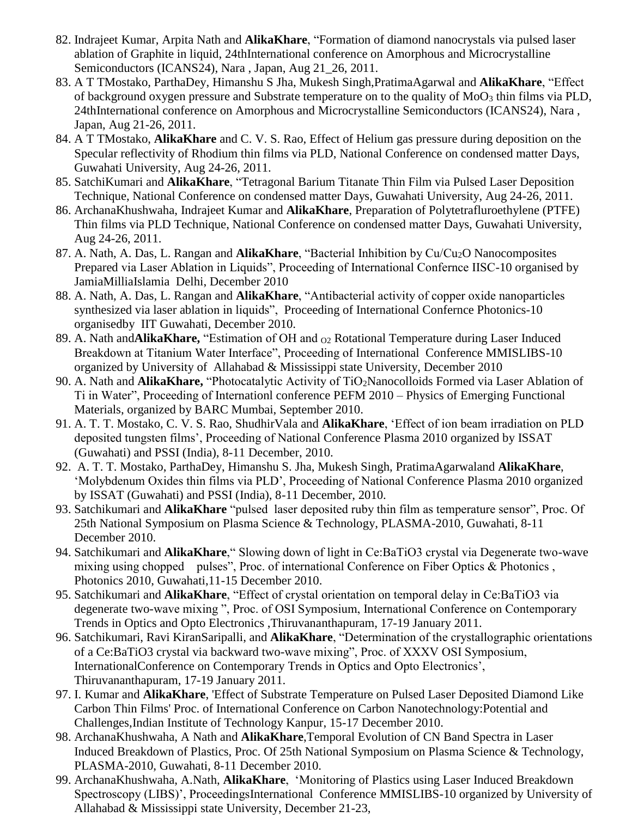- 82. Indrajeet Kumar, Arpita Nath and **AlikaKhare**, "Formation of diamond nanocrystals via pulsed laser ablation of Graphite in liquid, 24thInternational conference on Amorphous and Microcrystalline Semiconductors (ICANS24), Nara , Japan, Aug 21\_26, 2011.
- 83. A T TMostako, ParthaDey, Himanshu S Jha, Mukesh Singh,PratimaAgarwal and **AlikaKhare**, "Effect of background oxygen pressure and Substrate temperature on to the quality of MoO<sub>3</sub> thin films via PLD, 24thInternational conference on Amorphous and Microcrystalline Semiconductors (ICANS24), Nara , Japan, Aug 21-26, 2011.
- 84. A T TMostako, **AlikaKhare** and C. V. S. Rao, Effect of Helium gas pressure during deposition on the Specular reflectivity of Rhodium thin films via PLD, National Conference on condensed matter Days, Guwahati University, Aug 24-26, 2011.
- 85. SatchiKumari and **AlikaKhare**, "Tetragonal Barium Titanate Thin Film via Pulsed Laser Deposition Technique, National Conference on condensed matter Days, Guwahati University, Aug 24-26, 2011.
- 86. ArchanaKhushwaha, Indrajeet Kumar and **AlikaKhare**, Preparation of Polytetrafluroethylene (PTFE) Thin films via PLD Technique, National Conference on condensed matter Days, Guwahati University, Aug 24-26, 2011.
- 87. A. Nath, A. Das, L. Rangan and **AlikaKhare**, "Bacterial Inhibition by Cu/Cu2O Nanocomposites Prepared via Laser Ablation in Liquids", Proceeding of International Confernce IISC-10 organised by JamiaMilliaIslamia Delhi, December 2010
- 88. A. Nath, A. Das, L. Rangan and **AlikaKhare**, "Antibacterial activity of copper oxide nanoparticles synthesized via laser ablation in liquids", Proceeding of International Confernce Photonics-10 organisedby IIT Guwahati, December 2010.
- 89. A. Nath and **AlikaKhare,** "Estimation of OH and <sub>O2</sub> Rotational Temperature during Laser Induced Breakdown at Titanium Water Interface", Proceeding of International Conference MMISLIBS-10 organized by University of Allahabad & Mississippi state University, December 2010
- 90. A. Nath and **AlikaKhare,** "Photocatalytic Activity of TiO2Nanocolloids Formed via Laser Ablation of Ti in Water", Proceeding of Internationl conference PEFM 2010 – Physics of Emerging Functional Materials, organized by BARC Mumbai, September 2010.
- 91. A. T. T. Mostako, C. V. S. Rao, ShudhirVala and **AlikaKhare**, 'Effect of ion beam irradiation on PLD deposited tungsten films', Proceeding of National Conference Plasma 2010 organized by ISSAT (Guwahati) and PSSI (India), 8-11 December, 2010.
- 92. A. T. T. Mostako, ParthaDey, Himanshu S. Jha, Mukesh Singh, PratimaAgarwaland **AlikaKhare**, 'Molybdenum Oxides thin films via PLD', Proceeding of National Conference Plasma 2010 organized by ISSAT (Guwahati) and PSSI (India), 8-11 December, 2010.
- 93. Satchikumari and **AlikaKhare** "pulsed laser deposited ruby thin film as temperature sensor", Proc. Of 25th National Symposium on Plasma Science & Technology, PLASMA-2010, Guwahati, 8-11 December 2010.
- 94. Satchikumari and **AlikaKhare**," Slowing down of light in Ce:BaTiO3 crystal via Degenerate two-wave mixing using chopped pulses", Proc. of international Conference on Fiber Optics & Photonics, Photonics 2010, Guwahati,11-15 December 2010.
- 95. Satchikumari and **AlikaKhare**, "Effect of crystal orientation on temporal delay in Ce:BaTiO3 via degenerate two-wave mixing ", Proc. of OSI Symposium, International Conference on Contemporary Trends in Optics and Opto Electronics ,Thiruvananthapuram, 17-19 January 2011.
- 96. Satchikumari, Ravi KiranSaripalli, and **AlikaKhare**, "Determination of the crystallographic orientations of a Ce:BaTiO3 crystal via backward two-wave mixing", Proc. of XXXV OSI Symposium, InternationalConference on Contemporary Trends in Optics and Opto Electronics', Thiruvananthapuram, 17-19 January 2011.
- 97. I. Kumar and **AlikaKhare**, 'Effect of Substrate Temperature on Pulsed Laser Deposited Diamond Like Carbon Thin Films' Proc. of International Conference on Carbon Nanotechnology:Potential and Challenges,Indian Institute of Technology Kanpur, 15-17 December 2010.
- 98. ArchanaKhushwaha, A Nath and **AlikaKhare**,Temporal Evolution of CN Band Spectra in Laser Induced Breakdown of Plastics, Proc. Of 25th National Symposium on Plasma Science & Technology, PLASMA-2010, Guwahati, 8-11 December 2010.
- 99. ArchanaKhushwaha, A.Nath, **AlikaKhare**, 'Monitoring of Plastics using Laser Induced Breakdown Spectroscopy (LIBS)', ProceedingsInternational Conference MMISLIBS-10 organized by University of Allahabad & Mississippi state University, December 21-23,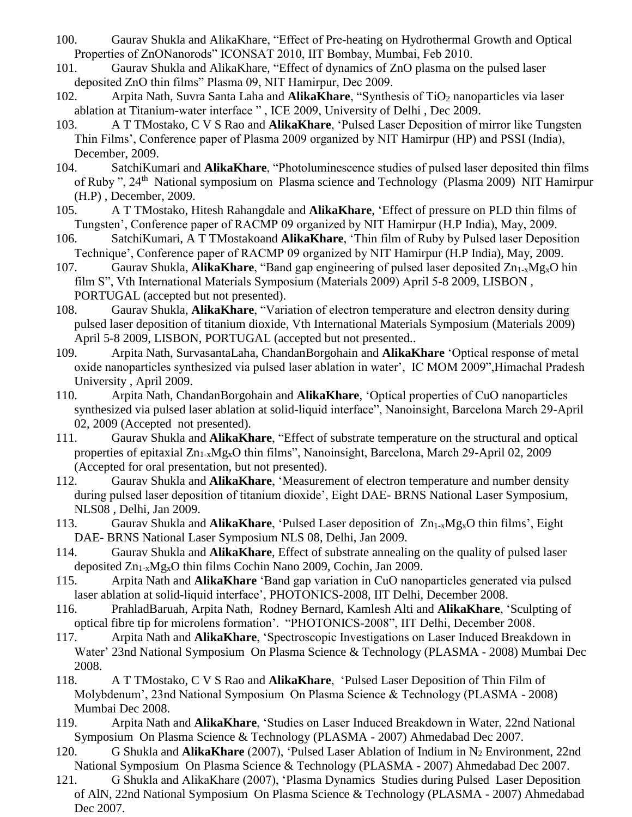- 100. Gaurav Shukla and AlikaKhare, "Effect of Pre-heating on Hydrothermal Growth and Optical Properties of ZnONanorods" ICONSAT 2010, IIT Bombay, Mumbai, Feb 2010.
- 101. Gaurav Shukla and AlikaKhare, "Effect of dynamics of ZnO plasma on the pulsed laser deposited ZnO thin films" Plasma 09, NIT Hamirpur, Dec 2009.
- 102. Arpita Nath, Suvra Santa Laha and **AlikaKhare**, "Synthesis of TiO<sub>2</sub> nanoparticles via laser ablation at Titanium-water interface " , ICE 2009, University of Delhi , Dec 2009.
- 103. A T TMostako, C V S Rao and **AlikaKhare**, 'Pulsed Laser Deposition of mirror like Tungsten Thin Films', Conference paper of Plasma 2009 organized by NIT Hamirpur (HP) and PSSI (India), December, 2009.
- 104. SatchiKumari and **AlikaKhare**, "Photoluminescence studies of pulsed laser deposited thin films of Ruby", 24<sup>th</sup> National symposium on Plasma science and Technology (Plasma 2009) NIT Hamirpur (H.P) , December, 2009.
- 105. A T TMostako, Hitesh Rahangdale and **AlikaKhare**, 'Effect of pressure on PLD thin films of Tungsten', Conference paper of RACMP 09 organized by NIT Hamirpur (H.P India), May, 2009.
- 106. SatchiKumari, A T TMostakoand **AlikaKhare**, 'Thin film of Ruby by Pulsed laser Deposition Technique', Conference paper of RACMP 09 organized by NIT Hamirpur (H.P India), May, 2009.
- 107. Gaurav Shukla, **AlikaKhare**, "Band gap engineering of pulsed laser deposited Zn1-xMgxO hin film S", Vth International Materials Symposium (Materials 2009) April 5-8 2009, LISBON , PORTUGAL (accepted but not presented).
- 108. Gaurav Shukla, **AlikaKhare**, "Variation of electron temperature and electron density during pulsed laser deposition of titanium dioxide, Vth International Materials Symposium (Materials 2009) April 5-8 2009, LISBON, PORTUGAL (accepted but not presented..
- 109. Arpita Nath, SurvasantaLaha, ChandanBorgohain and **AlikaKhare** 'Optical response of metal oxide nanoparticles synthesized via pulsed laser ablation in water', IC MOM 2009",Himachal Pradesh University , April 2009.
- 110. Arpita Nath, ChandanBorgohain and **AlikaKhare**, 'Optical properties of CuO nanoparticles synthesized via pulsed laser ablation at solid-liquid interface", Nanoinsight, Barcelona March 29-April 02, 2009 (Accepted not presented).
- 111. Gaurav Shukla and **AlikaKhare**, "Effect of substrate temperature on the structural and optical properties of epitaxial Zn<sub>1-x</sub>Mg<sub>x</sub>O thin films", Nanoinsight, Barcelona, March 29-April 02, 2009 (Accepted for oral presentation, but not presented).
- 112. Gaurav Shukla and **AlikaKhare**, 'Measurement of electron temperature and number density during pulsed laser deposition of titanium dioxide', Eight DAE- BRNS National Laser Symposium, NLS08 , Delhi, Jan 2009.
- 113. Gaurav Shukla and **AlikaKhare**, 'Pulsed Laser deposition of Zn1-xMgxO thin films', Eight DAE- BRNS National Laser Symposium NLS 08, Delhi, Jan 2009.
- 114. Gaurav Shukla and **AlikaKhare**, Effect of substrate annealing on the quality of pulsed laser deposited Zn1-xMgxO thin films Cochin Nano 2009, Cochin, Jan 2009.
- 115. Arpita Nath and **AlikaKhare** 'Band gap variation in CuO nanoparticles generated via pulsed laser ablation at solid-liquid interface', PHOTONICS-2008, IIT Delhi, December 2008.
- 116. PrahladBaruah, Arpita Nath, Rodney Bernard, Kamlesh Alti and **AlikaKhare**, 'Sculpting of optical fibre tip for microlens formation'. "PHOTONICS-2008", IIT Delhi, December 2008.
- 117. Arpita Nath and **AlikaKhare**, 'Spectroscopic Investigations on Laser Induced Breakdown in Water' 23nd National Symposium On Plasma Science & Technology (PLASMA - 2008) Mumbai Dec 2008.
- 118. A T TMostako, C V S Rao and **AlikaKhare**, 'Pulsed Laser Deposition of Thin Film of Molybdenum', 23nd National Symposium On Plasma Science & Technology (PLASMA - 2008) Mumbai Dec 2008.
- 119. Arpita Nath and **AlikaKhare**, 'Studies on Laser Induced Breakdown in Water, 22nd National Symposium On Plasma Science & Technology (PLASMA - 2007) Ahmedabad Dec 2007.
- 120. G Shukla and **AlikaKhare** (2007), 'Pulsed Laser Ablation of Indium in N<sup>2</sup> Environment, 22nd National Symposium On Plasma Science & Technology (PLASMA - 2007) Ahmedabad Dec 2007.
- 121. G Shukla and AlikaKhare (2007), 'Plasma Dynamics Studies during Pulsed Laser Deposition of AlN, 22nd National Symposium On Plasma Science & Technology (PLASMA - 2007) Ahmedabad Dec 2007.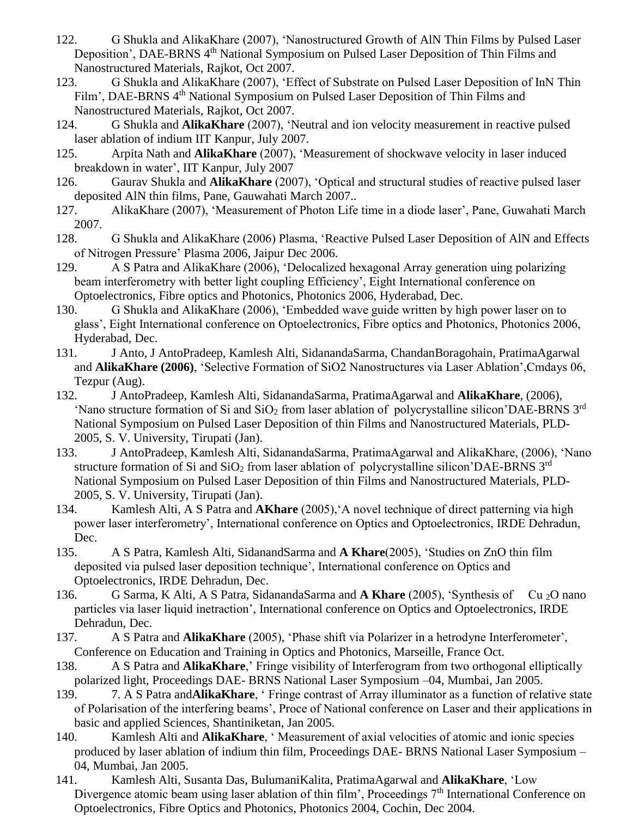- 122. G Shukla and AlikaKhare (2007), 'Nanostructured Growth of AlN Thin Films by Pulsed Laser Deposition', DAE-BRNS 4<sup>th</sup> National Symposium on Pulsed Laser Deposition of Thin Films and Nanostructured Materials, Rajkot, Oct 2007.
- 123. G Shukla and AlikaKhare (2007), 'Effect of Substrate on Pulsed Laser Deposition of InN Thin Film', DAE-BRNS 4<sup>th</sup> National Symposium on Pulsed Laser Deposition of Thin Films and Nanostructured Materials, Rajkot, Oct 2007.
- 124. G Shukla and **AlikaKhare** (2007), 'Neutral and ion velocity measurement in reactive pulsed laser ablation of indium IIT Kanpur, July 2007.
- 125. Arpita Nath and **AlikaKhare** (2007), 'Measurement of shockwave velocity in laser induced breakdown in water', IIT Kanpur, July 2007
- 126. Gaurav Shukla and **AlikaKhare** (2007), 'Optical and structural studies of reactive pulsed laser deposited AlN thin films, Pane, Gauwahati March 2007..
- 127. AlikaKhare (2007), 'Measurement of Photon Life time in a diode laser', Pane, Guwahati March 2007.
- 128. G Shukla and AlikaKhare (2006) Plasma, 'Reactive Pulsed Laser Deposition of AlN and Effects of Nitrogen Pressure' Plasma 2006, Jaipur Dec 2006.
- 129. A S Patra and AlikaKhare (2006), 'Delocalized hexagonal Array generation uing polarizing beam interferometry with better light coupling Efficiency', Eight International conference on Optoelectronics, Fibre optics and Photonics, Photonics 2006, Hyderabad, Dec.
- 130. G Shukla and AlikaKhare (2006), 'Embedded wave guide written by high power laser on to glass', Eight International conference on Optoelectronics, Fibre optics and Photonics, Photonics 2006, Hyderabad, Dec.
- 131. J Anto, J AntoPradeep, Kamlesh Alti, SidanandaSarma, ChandanBoragohain, PratimaAgarwal and **AlikaKhare (2006)**, 'Selective Formation of SiO2 Nanostructures via Laser Ablation',Cmdays 06, Tezpur (Aug).
- 132. J AntoPradeep, Kamlesh Alti, SidanandaSarma, PratimaAgarwal and **AlikaKhare**, (2006), 'Nano structure formation of Si and  $SiO<sub>2</sub>$  from laser ablation of polycrystalline silicon'DAE-BRNS 3<sup>rd</sup> National Symposium on Pulsed Laser Deposition of thin Films and Nanostructured Materials, PLD-2005, S. V. University, Tirupati (Jan).
- 133. J AntoPradeep, Kamlesh Alti, SidanandaSarma, PratimaAgarwal and AlikaKhare, (2006), 'Nano structure formation of Si and  $SiO<sub>2</sub>$  from laser ablation of polycrystalline silicon'DAE-BRNS  $3<sup>rd</sup>$ National Symposium on Pulsed Laser Deposition of thin Films and Nanostructured Materials, PLD-2005, S. V. University, Tirupati (Jan).
- 134. Kamlesh Alti, A S Patra and **AKhare** (2005),'A novel technique of direct patterning via high power laser interferometry', International conference on Optics and Optoelectronics, IRDE Dehradun, Dec.
- 135. A S Patra, Kamlesh Alti, SidanandSarma and **A Khare**(2005), 'Studies on ZnO thin film deposited via pulsed laser deposition technique', International conference on Optics and Optoelectronics, IRDE Dehradun, Dec.
- 136. G Sarma, K Alti, A S Patra, SidanandaSarma and **A Khare** (2005), 'Synthesis of Cu 2O nano particles via laser liquid inetraction', International conference on Optics and Optoelectronics, IRDE Dehradun, Dec.
- 137. A S Patra and **AlikaKhare** (2005), 'Phase shift via Polarizer in a hetrodyne Interferometer', Conference on Education and Training in Optics and Photonics, Marseille, France Oct.
- 138. A S Patra and **AlikaKhare**,' Fringe visibility of Interferogram from two orthogonal elliptically polarized light, Proceedings DAE- BRNS National Laser Symposium –04, Mumbai, Jan 2005.
- 139. 7. A S Patra and**AlikaKhare**, ' Fringe contrast of Array illuminator as a function of relative state of Polarisation of the interfering beams', Proce of National conference on Laser and their applications in basic and applied Sciences, Shantiniketan, Jan 2005.
- 140. Kamlesh Alti and **AlikaKhare**, ' Measurement of axial velocities of atomic and ionic species produced by laser ablation of indium thin film, Proceedings DAE- BRNS National Laser Symposium – 04, Mumbai, Jan 2005.
- 141. Kamlesh Alti, Susanta Das, BulumaniKalita, PratimaAgarwal and **AlikaKhare**, 'Low Divergence atomic beam using laser ablation of thin film', Proceedings 7<sup>th</sup> International Conference on Optoelectronics, Fibre Optics and Photonics, Photonics 2004, Cochin, Dec 2004.